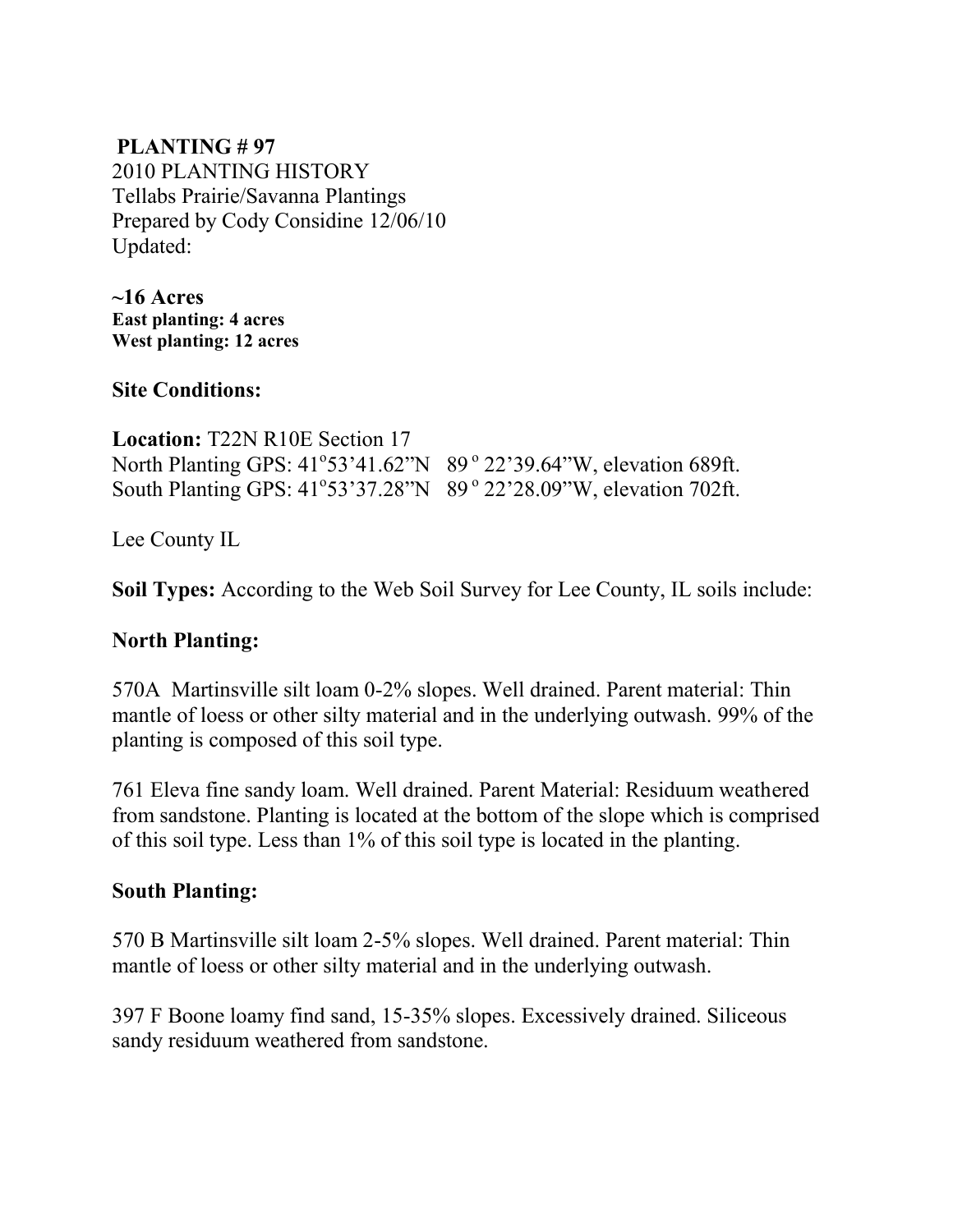#### **PLANTING # 97** 2010 PLANTING HISTORY Tellabs Prairie/Savanna Plantings Prepared by Cody Considine 12/06/10 Updated:

**~16 Acres East planting: 4 acres West planting: 12 acres** 

**Site Conditions:** 

**Location:** T22N R10E Section 17 North Planting GPS: 41°53'41.62"N 89° 22'39.64"W, elevation 689ft. South Planting GPS: 41°53'37.28"N 89° 22'28.09"W, elevation 702ft.

Lee County IL

**Soil Types:** According to the Web Soil Survey for Lee County, IL soils include:

#### **North Planting:**

570A Martinsville silt loam 0-2% slopes. Well drained. Parent material: Thin mantle of loess or other silty material and in the underlying outwash. 99% of the planting is composed of this soil type.

761 Eleva fine sandy loam. Well drained. Parent Material: Residuum weathered from sandstone. Planting is located at the bottom of the slope which is comprised of this soil type. Less than 1% of this soil type is located in the planting.

#### **South Planting:**

570 B Martinsville silt loam 2-5% slopes. Well drained. Parent material: Thin mantle of loess or other silty material and in the underlying outwash.

397 F Boone loamy find sand, 15-35% slopes. Excessively drained. Siliceous sandy residuum weathered from sandstone.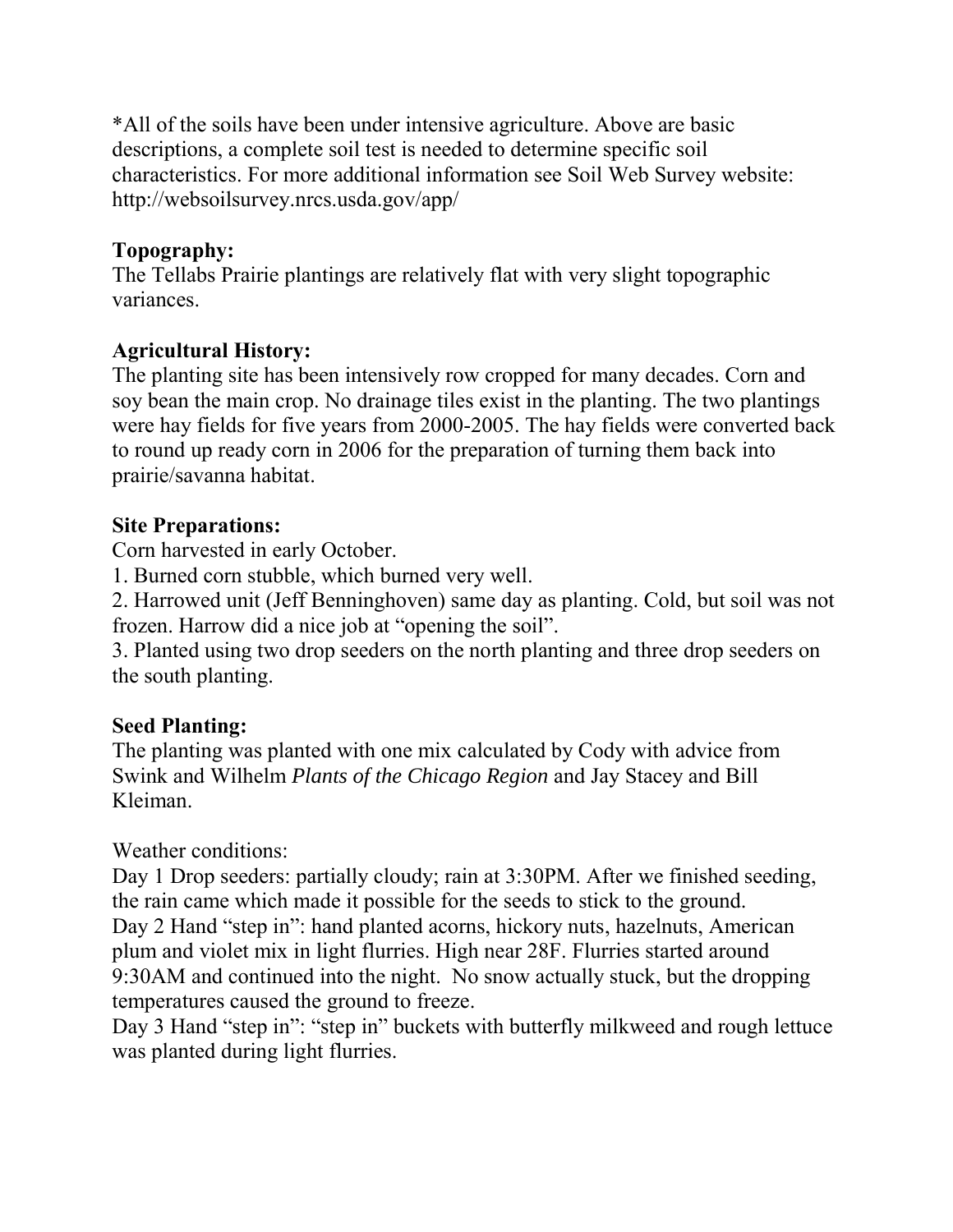\*All of the soils have been under intensive agriculture. Above are basic descriptions, a complete soil test is needed to determine specific soil characteristics. For more additional information see Soil Web Survey website: http://websoilsurvey.nrcs.usda.gov/app/

## **Topography:**

The Tellabs Prairie plantings are relatively flat with very slight topographic variances.

## **Agricultural History:**

The planting site has been intensively row cropped for many decades. Corn and soy bean the main crop. No drainage tiles exist in the planting. The two plantings were hay fields for five years from 2000-2005. The hay fields were converted back to round up ready corn in 2006 for the preparation of turning them back into prairie/savanna habitat.

#### **Site Preparations:**

Corn harvested in early October.

1. Burned corn stubble, which burned very well.

2. Harrowed unit (Jeff Benninghoven) same day as planting. Cold, but soil was not frozen. Harrow did a nice job at "opening the soil".

3. Planted using two drop seeders on the north planting and three drop seeders on the south planting.

## **Seed Planting:**

The planting was planted with one mix calculated by Cody with advice from Swink and Wilhelm *Plants of the Chicago Region* and Jay Stacey and Bill Kleiman.

Weather conditions:

Day 1 Drop seeders: partially cloudy; rain at 3:30PM. After we finished seeding, the rain came which made it possible for the seeds to stick to the ground. Day 2 Hand "step in": hand planted acorns, hickory nuts, hazelnuts, American plum and violet mix in light flurries. High near 28F. Flurries started around 9:30AM and continued into the night. No snow actually stuck, but the dropping temperatures caused the ground to freeze.

Day 3 Hand "step in": "step in" buckets with butterfly milkweed and rough lettuce was planted during light flurries.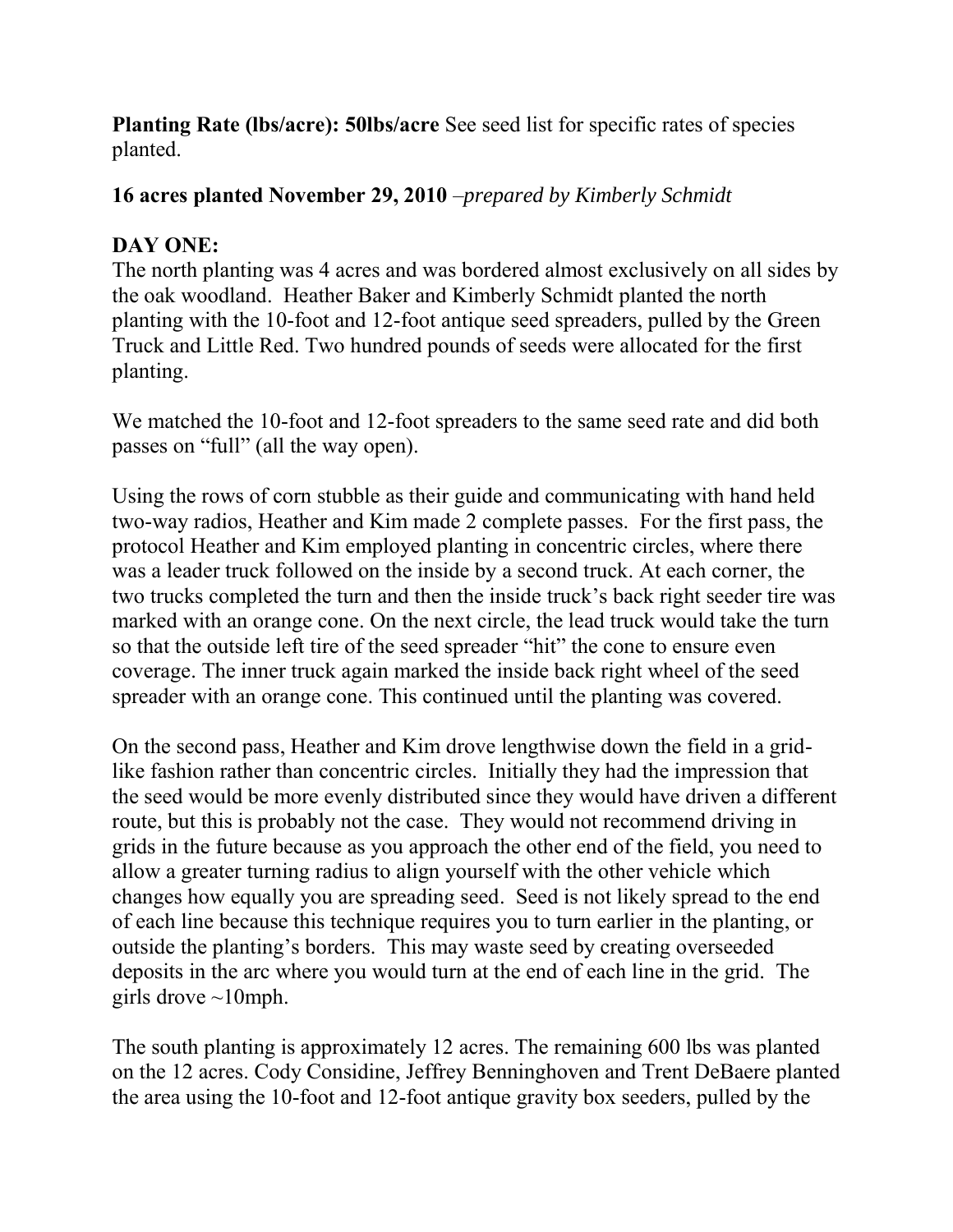**Planting Rate (lbs/acre): 50lbs/acre** See seed list for specific rates of species planted.

#### **16 acres planted November 29, 2010** –*prepared by Kimberly Schmidt*

#### **DAY ONE:**

The north planting was 4 acres and was bordered almost exclusively on all sides by the oak woodland. Heather Baker and Kimberly Schmidt planted the north planting with the 10-foot and 12-foot antique seed spreaders, pulled by the Green Truck and Little Red. Two hundred pounds of seeds were allocated for the first planting.

We matched the 10-foot and 12-foot spreaders to the same seed rate and did both passes on "full" (all the way open).

Using the rows of corn stubble as their guide and communicating with hand held two-way radios, Heather and Kim made 2 complete passes. For the first pass, the protocol Heather and Kim employed planting in concentric circles, where there was a leader truck followed on the inside by a second truck. At each corner, the two trucks completed the turn and then the inside truck's back right seeder tire was marked with an orange cone. On the next circle, the lead truck would take the turn so that the outside left tire of the seed spreader "hit" the cone to ensure even coverage. The inner truck again marked the inside back right wheel of the seed spreader with an orange cone. This continued until the planting was covered.

On the second pass, Heather and Kim drove lengthwise down the field in a gridlike fashion rather than concentric circles. Initially they had the impression that the seed would be more evenly distributed since they would have driven a different route, but this is probably not the case. They would not recommend driving in grids in the future because as you approach the other end of the field, you need to allow a greater turning radius to align yourself with the other vehicle which changes how equally you are spreading seed. Seed is not likely spread to the end of each line because this technique requires you to turn earlier in the planting, or outside the planting's borders. This may waste seed by creating overseeded deposits in the arc where you would turn at the end of each line in the grid. The girls drove  $\sim$ 10mph.

The south planting is approximately 12 acres. The remaining 600 lbs was planted on the 12 acres. Cody Considine, Jeffrey Benninghoven and Trent DeBaere planted the area using the 10-foot and 12-foot antique gravity box seeders, pulled by the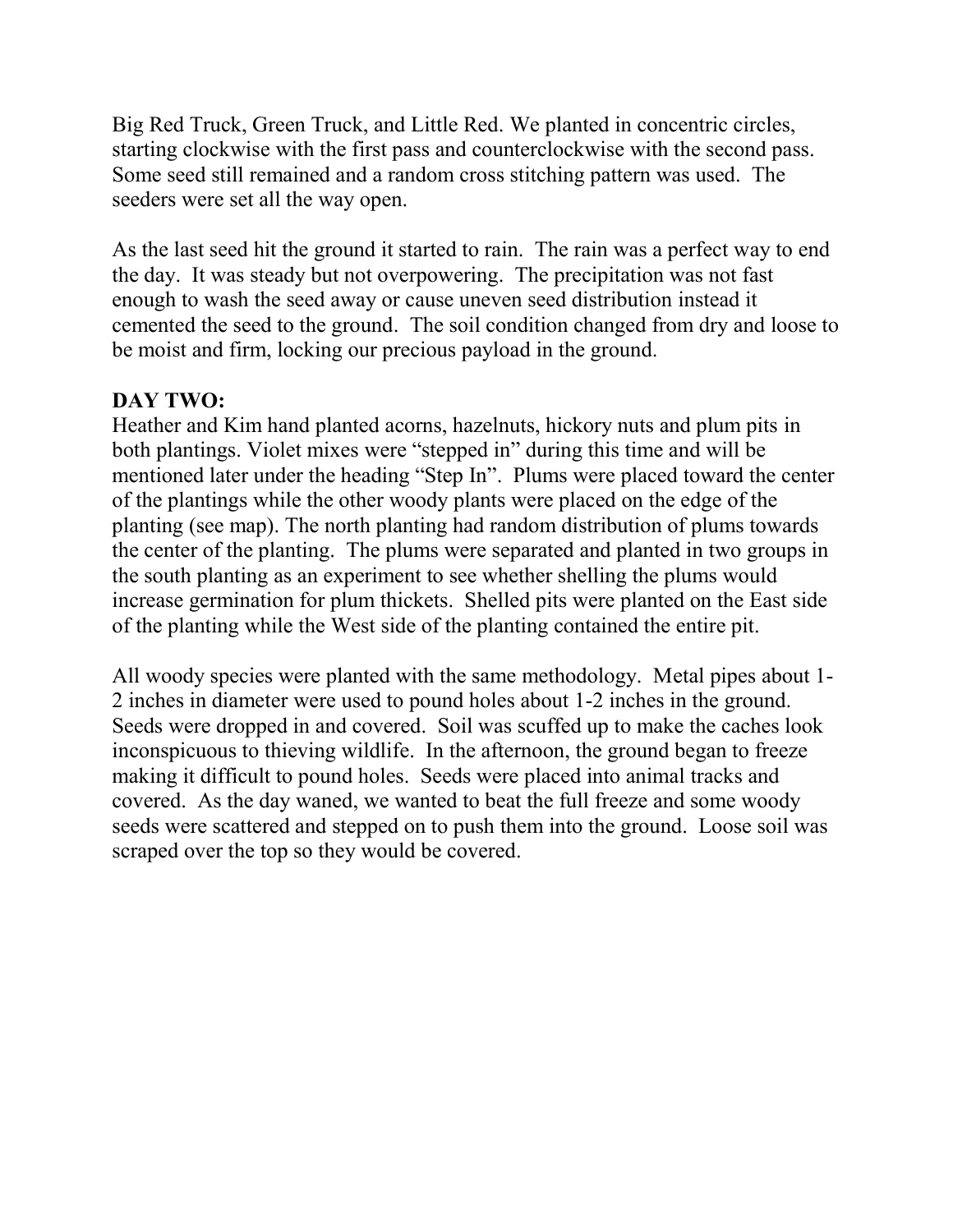Big Red Truck, Green Truck, and Little Red. We planted in concentric circles, starting clockwise with the first pass and counterclockwise with the second pass. Some seed still remained and a random cross stitching pattern was used. The seeders were set all the way open.

As the last seed hit the ground it started to rain. The rain was a perfect way to end the day. It was steady but not overpowering. The precipitation was not fast enough to wash the seed away or cause uneven seed distribution instead it cemented the seed to the ground. The soil condition changed from dry and loose to be moist and firm, locking our precious payload in the ground.

## **DAY TWO:**

Heather and Kim hand planted acorns, hazelnuts, hickory nuts and plum pits in both plantings. Violet mixes were "stepped in" during this time and will be mentioned later under the heading "Step In". Plums were placed toward the center of the plantings while the other woody plants were placed on the edge of the planting (see map). The north planting had random distribution of plums towards the center of the planting. The plums were separated and planted in two groups in the south planting as an experiment to see whether shelling the plums would increase germination for plum thickets. Shelled pits were planted on the East side of the planting while the West side of the planting contained the entire pit.

All woody species were planted with the same methodology. Metal pipes about 1- 2 inches in diameter were used to pound holes about 1-2 inches in the ground. Seeds were dropped in and covered. Soil was scuffed up to make the caches look inconspicuous to thieving wildlife. In the afternoon, the ground began to freeze making it difficult to pound holes. Seeds were placed into animal tracks and covered. As the day waned, we wanted to beat the full freeze and some woody seeds were scattered and stepped on to push them into the ground. Loose soil was scraped over the top so they would be covered.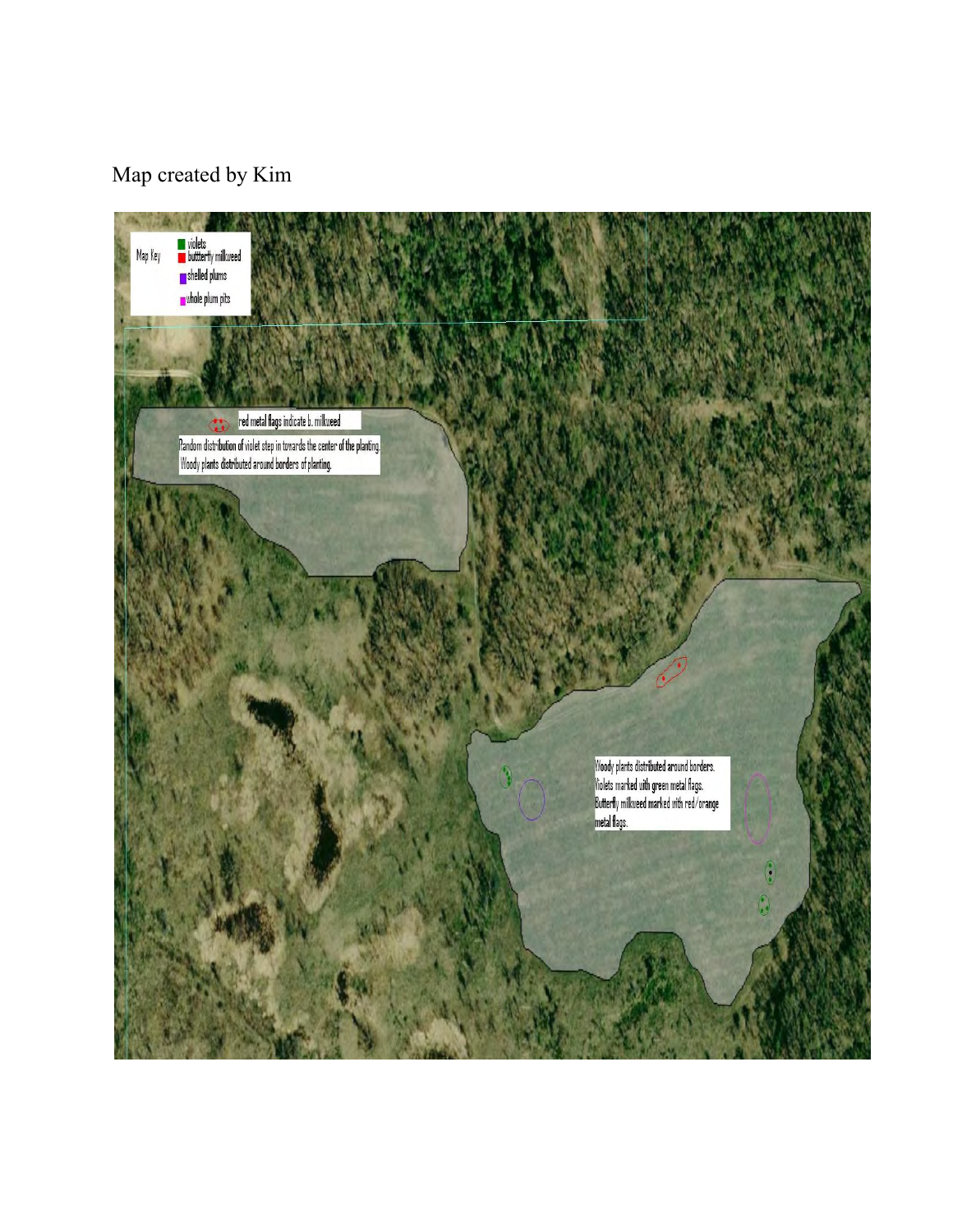# Map created by Kim

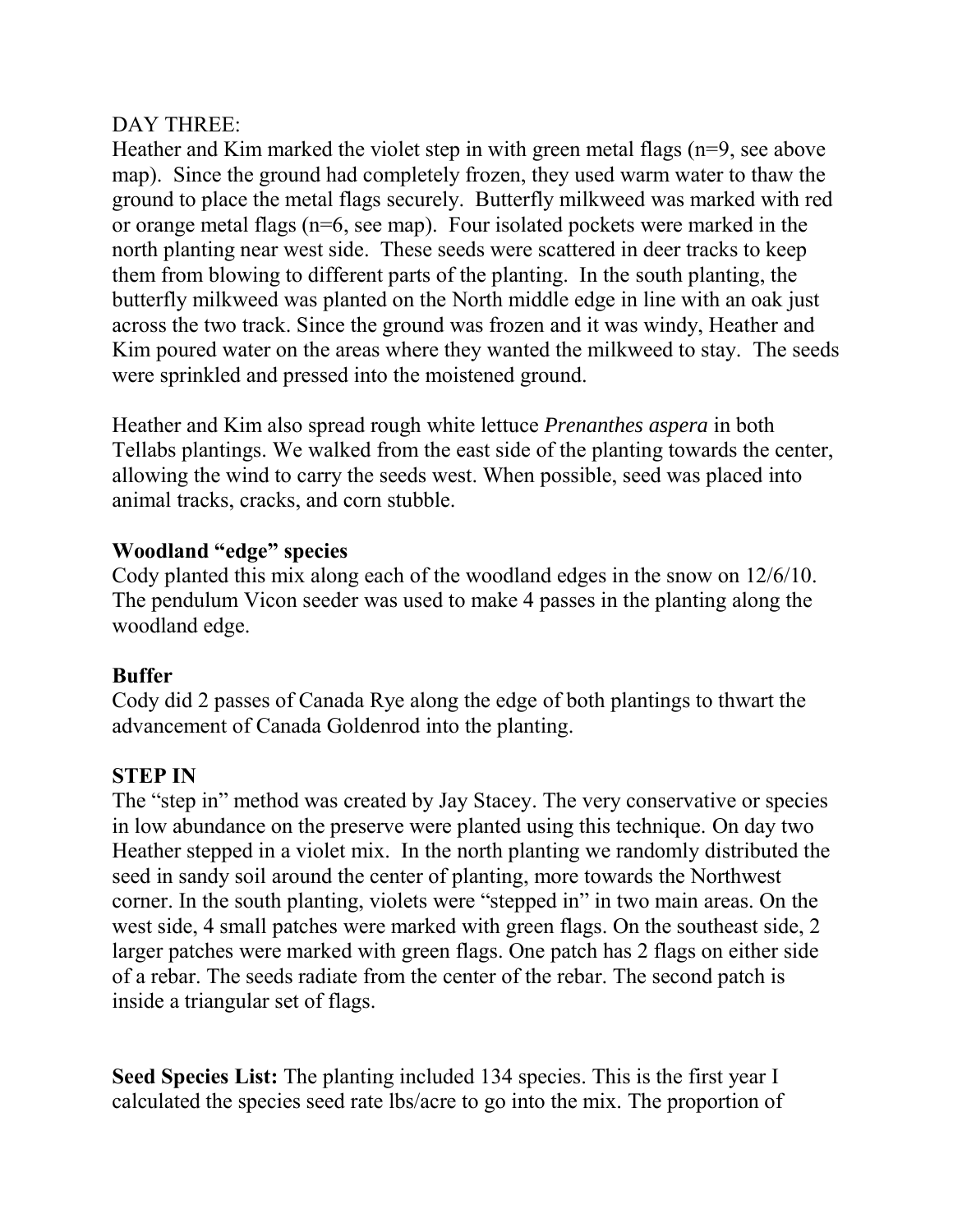#### DAY THREE:

Heather and Kim marked the violet step in with green metal flags (n=9, see above map). Since the ground had completely frozen, they used warm water to thaw the ground to place the metal flags securely. Butterfly milkweed was marked with red or orange metal flags (n=6, see map). Four isolated pockets were marked in the north planting near west side. These seeds were scattered in deer tracks to keep them from blowing to different parts of the planting. In the south planting, the butterfly milkweed was planted on the North middle edge in line with an oak just across the two track. Since the ground was frozen and it was windy, Heather and Kim poured water on the areas where they wanted the milkweed to stay. The seeds were sprinkled and pressed into the moistened ground.

Heather and Kim also spread rough white lettuce *Prenanthes aspera* in both Tellabs plantings. We walked from the east side of the planting towards the center, allowing the wind to carry the seeds west. When possible, seed was placed into animal tracks, cracks, and corn stubble.

#### **Woodland "edge" species**

Cody planted this mix along each of the woodland edges in the snow on 12/6/10. The pendulum Vicon seeder was used to make 4 passes in the planting along the woodland edge.

## **Buffer**

Cody did 2 passes of Canada Rye along the edge of both plantings to thwart the advancement of Canada Goldenrod into the planting.

## **STEP IN**

The "step in" method was created by Jay Stacey. The very conservative or species in low abundance on the preserve were planted using this technique. On day two Heather stepped in a violet mix. In the north planting we randomly distributed the seed in sandy soil around the center of planting, more towards the Northwest corner. In the south planting, violets were "stepped in" in two main areas. On the west side, 4 small patches were marked with green flags. On the southeast side, 2 larger patches were marked with green flags. One patch has 2 flags on either side of a rebar. The seeds radiate from the center of the rebar. The second patch is inside a triangular set of flags.

**Seed Species List:** The planting included 134 species. This is the first year I calculated the species seed rate lbs/acre to go into the mix. The proportion of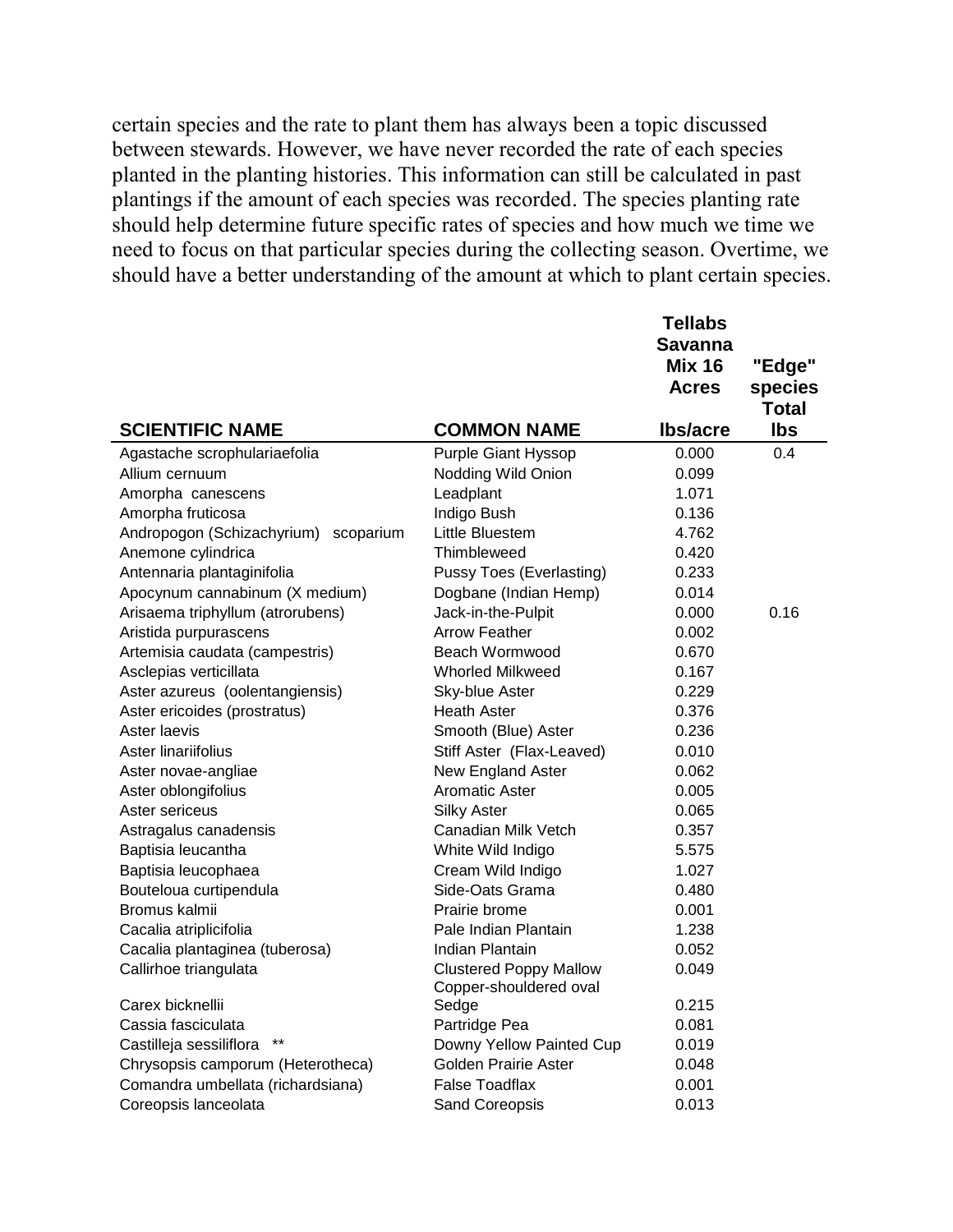certain species and the rate to plant them has always been a topic discussed between stewards. However, we have never recorded the rate of each species planted in the planting histories. This information can still be calculated in past plantings if the amount of each species was recorded. The species planting rate should help determine future specific rates of species and how much we time we need to focus on that particular species during the collecting season. Overtime, we should have a better understanding of the amount at which to plant certain species.

|                                         |                                 | <b>Tellabs</b>  |              |
|-----------------------------------------|---------------------------------|-----------------|--------------|
|                                         |                                 | <b>Savanna</b>  |              |
|                                         |                                 | <b>Mix 16</b>   | "Edge"       |
|                                         |                                 | <b>Acres</b>    | species      |
|                                         |                                 |                 | <b>Total</b> |
| <b>SCIENTIFIC NAME</b>                  | <b>COMMON NAME</b>              | <b>Ibs/acre</b> | <b>lbs</b>   |
| Agastache scrophulariaefolia            | <b>Purple Giant Hyssop</b>      | 0.000           | 0.4          |
| Allium cernuum                          | Nodding Wild Onion              | 0.099           |              |
| Amorpha canescens                       | Leadplant                       | 1.071           |              |
| Amorpha fruticosa                       | Indigo Bush                     | 0.136           |              |
| Andropogon (Schizachyrium)<br>scoparium | Little Bluestem                 | 4.762           |              |
| Anemone cylindrica                      | Thimbleweed                     | 0.420           |              |
| Antennaria plantaginifolia              | <b>Pussy Toes (Everlasting)</b> | 0.233           |              |
| Apocynum cannabinum (X medium)          | Dogbane (Indian Hemp)           | 0.014           |              |
| Arisaema triphyllum (atrorubens)        | Jack-in-the-Pulpit              | 0.000           | 0.16         |
| Aristida purpurascens                   | <b>Arrow Feather</b>            | 0.002           |              |
| Artemisia caudata (campestris)          | Beach Wormwood                  | 0.670           |              |
| Asclepias verticillata                  | <b>Whorled Milkweed</b>         | 0.167           |              |
| Aster azureus (oolentangiensis)         | Sky-blue Aster                  | 0.229           |              |
| Aster ericoides (prostratus)            | <b>Heath Aster</b>              | 0.376           |              |
| Aster laevis                            | Smooth (Blue) Aster             | 0.236           |              |
| Aster linariifolius                     | Stiff Aster (Flax-Leaved)       | 0.010           |              |
| Aster novae-angliae                     | New England Aster               | 0.062           |              |
| Aster oblongifolius                     | <b>Aromatic Aster</b>           | 0.005           |              |
| Aster sericeus                          | <b>Silky Aster</b>              | 0.065           |              |
| Astragalus canadensis                   | Canadian Milk Vetch             | 0.357           |              |
| Baptisia leucantha                      | White Wild Indigo               | 5.575           |              |
| Baptisia leucophaea                     | Cream Wild Indigo               | 1.027           |              |
| Bouteloua curtipendula                  | Side-Oats Grama                 | 0.480           |              |
| Bromus kalmii                           | Prairie brome                   | 0.001           |              |
| Cacalia atriplicifolia                  | Pale Indian Plantain            | 1.238           |              |
| Cacalia plantaginea (tuberosa)          | Indian Plantain                 | 0.052           |              |
| Callirhoe triangulata                   | <b>Clustered Poppy Mallow</b>   | 0.049           |              |
|                                         | Copper-shouldered oval          |                 |              |
| Carex bicknellii                        | Sedge                           | 0.215           |              |
| Cassia fasciculata                      | Partridge Pea                   | 0.081           |              |
| Castilleja sessiliflora                 | Downy Yellow Painted Cup        | 0.019           |              |
| Chrysopsis camporum (Heterotheca)       | Golden Prairie Aster            | 0.048           |              |
| Comandra umbellata (richardsiana)       | <b>False Toadflax</b>           | 0.001           |              |
| Coreopsis lanceolata                    | Sand Coreopsis                  | 0.013           |              |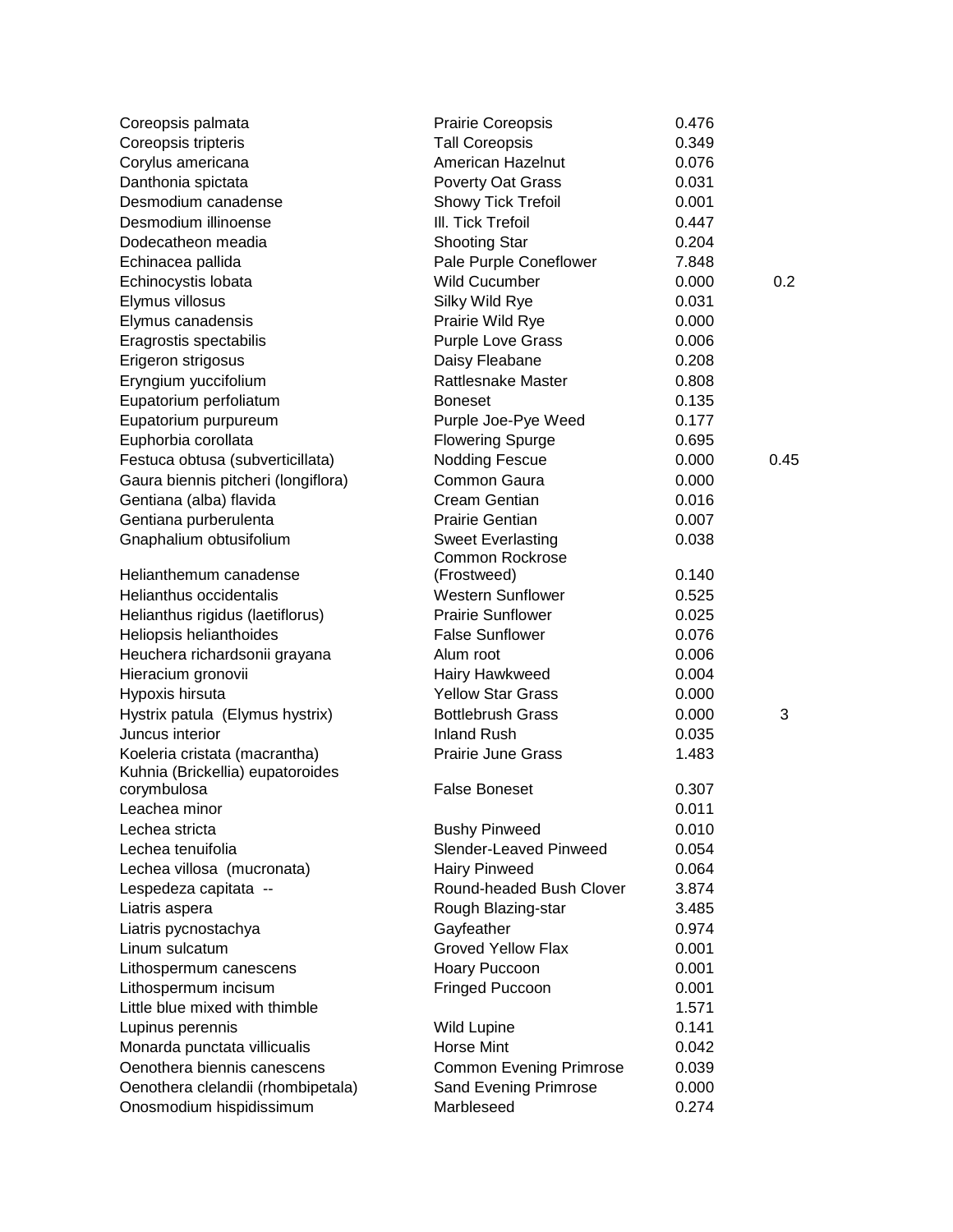| Coreopsis palmata                                                 | <b>Prairie Coreopsis</b>       | 0.476 |      |
|-------------------------------------------------------------------|--------------------------------|-------|------|
| Coreopsis tripteris                                               | <b>Tall Coreopsis</b>          | 0.349 |      |
| Corylus americana                                                 | American Hazelnut              | 0.076 |      |
| Danthonia spictata                                                | <b>Poverty Oat Grass</b>       | 0.031 |      |
| Desmodium canadense                                               | Showy Tick Trefoil             | 0.001 |      |
| Desmodium illinoense                                              | III. Tick Trefoil              | 0.447 |      |
| Dodecatheon meadia                                                | <b>Shooting Star</b>           | 0.204 |      |
| Echinacea pallida                                                 | Pale Purple Coneflower         | 7.848 |      |
| Echinocystis lobata                                               | <b>Wild Cucumber</b>           | 0.000 | 0.2  |
| Elymus villosus                                                   | Silky Wild Rye                 | 0.031 |      |
| Elymus canadensis                                                 | Prairie Wild Rye               | 0.000 |      |
| Eragrostis spectabilis                                            | Purple Love Grass              | 0.006 |      |
| Erigeron strigosus                                                | Daisy Fleabane                 | 0.208 |      |
| Eryngium yuccifolium                                              | <b>Rattlesnake Master</b>      | 0.808 |      |
| Eupatorium perfoliatum                                            | <b>Boneset</b>                 | 0.135 |      |
| Eupatorium purpureum                                              | Purple Joe-Pye Weed            | 0.177 |      |
| Euphorbia corollata                                               | <b>Flowering Spurge</b>        | 0.695 |      |
| Festuca obtusa (subverticillata)                                  | <b>Nodding Fescue</b>          | 0.000 | 0.45 |
| Gaura biennis pitcheri (longiflora)                               | Common Gaura                   | 0.000 |      |
| Gentiana (alba) flavida                                           | Cream Gentian                  | 0.016 |      |
| Gentiana purberulenta                                             | <b>Prairie Gentian</b>         | 0.007 |      |
| Gnaphalium obtusifolium                                           | <b>Sweet Everlasting</b>       | 0.038 |      |
|                                                                   | <b>Common Rockrose</b>         |       |      |
| Helianthemum canadense                                            | (Frostweed)                    | 0.140 |      |
| Helianthus occidentalis                                           | <b>Western Sunflower</b>       | 0.525 |      |
| Helianthus rigidus (laetiflorus)                                  | <b>Prairie Sunflower</b>       | 0.025 |      |
| Heliopsis helianthoides                                           | <b>False Sunflower</b>         | 0.076 |      |
| Heuchera richardsonii grayana                                     | Alum root                      | 0.006 |      |
| Hieracium gronovii                                                | Hairy Hawkweed                 | 0.004 |      |
| Hypoxis hirsuta                                                   | <b>Yellow Star Grass</b>       | 0.000 |      |
| Hystrix patula (Elymus hystrix)                                   | <b>Bottlebrush Grass</b>       | 0.000 | 3    |
| Juncus interior                                                   | <b>Inland Rush</b>             | 0.035 |      |
| Koeleria cristata (macrantha)<br>Kuhnia (Brickellia) eupatoroides | <b>Prairie June Grass</b>      | 1.483 |      |
| corymbulosa                                                       | <b>False Boneset</b>           | 0.307 |      |
| Leachea minor                                                     |                                | 0.011 |      |
| Lechea stricta                                                    | <b>Bushy Pinweed</b>           | 0.010 |      |
| Lechea tenuifolia                                                 | Slender-Leaved Pinweed         | 0.054 |      |
| Lechea villosa (mucronata)                                        | <b>Hairy Pinweed</b>           | 0.064 |      |
| Lespedeza capitata --                                             | Round-headed Bush Clover       | 3.874 |      |
| Liatris aspera                                                    | Rough Blazing-star             | 3.485 |      |
| Liatris pycnostachya                                              | Gayfeather                     | 0.974 |      |
| Linum sulcatum                                                    | <b>Groved Yellow Flax</b>      | 0.001 |      |
| Lithospermum canescens                                            | Hoary Puccoon                  | 0.001 |      |
| Lithospermum incisum                                              | Fringed Puccoon                | 0.001 |      |
| Little blue mixed with thimble                                    |                                | 1.571 |      |
| Lupinus perennis                                                  | <b>Wild Lupine</b>             | 0.141 |      |
| Monarda punctata villicualis                                      | Horse Mint                     | 0.042 |      |
| Oenothera biennis canescens                                       | <b>Common Evening Primrose</b> | 0.039 |      |
| Oenothera clelandii (rhombipetala)                                | Sand Evening Primrose          | 0.000 |      |
| Onosmodium hispidissimum                                          | Marbleseed                     | 0.274 |      |
|                                                                   |                                |       |      |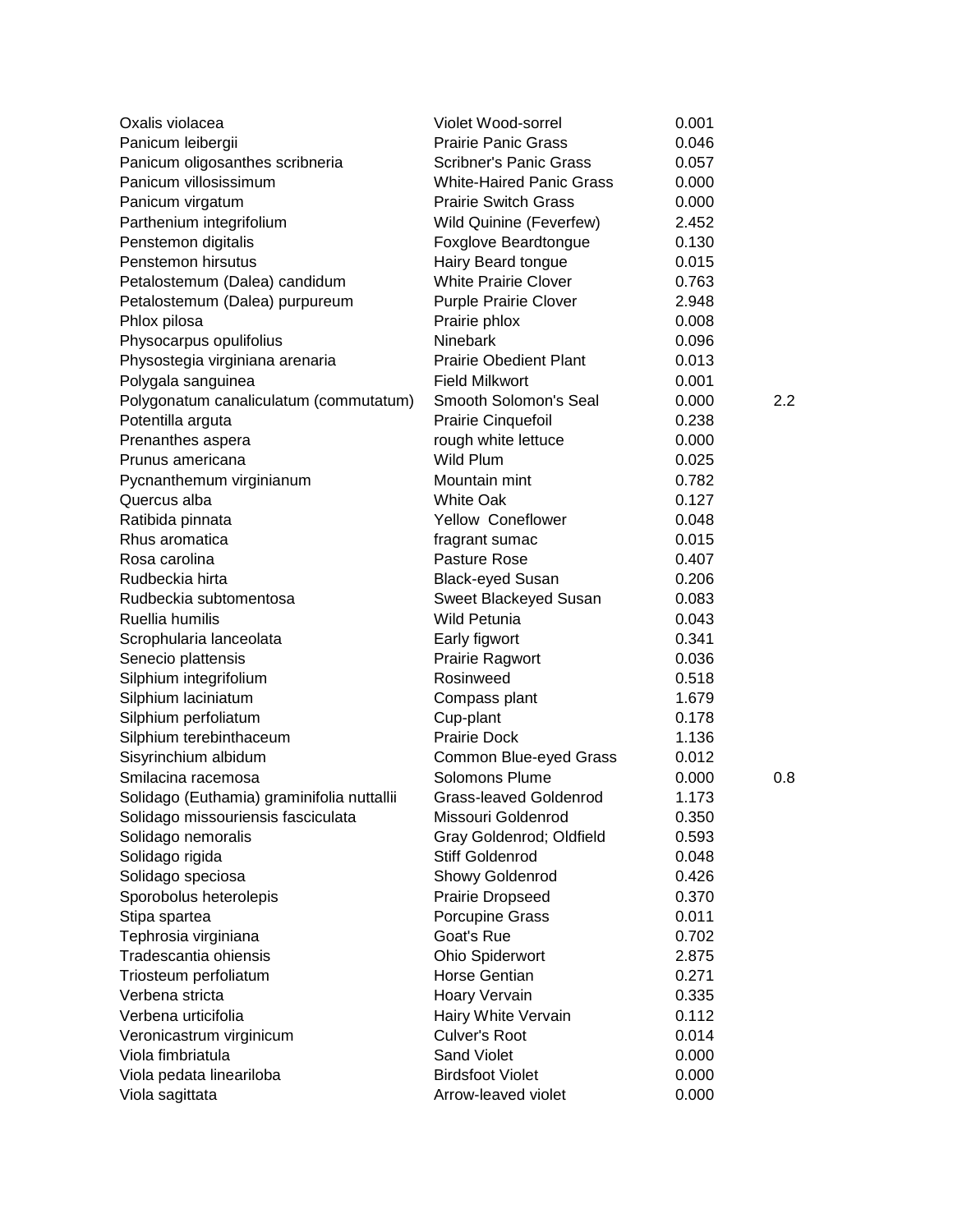| Oxalis violacea                               | Violet Wood-sorrel                   | 0.001 |     |
|-----------------------------------------------|--------------------------------------|-------|-----|
| Panicum leibergii                             | <b>Prairie Panic Grass</b>           | 0.046 |     |
| Panicum oligosanthes scribneria               | <b>Scribner's Panic Grass</b>        | 0.057 |     |
| Panicum villosissimum                         | <b>White-Haired Panic Grass</b>      | 0.000 |     |
| Panicum virgatum                              | <b>Prairie Switch Grass</b>          | 0.000 |     |
| Parthenium integrifolium                      | Wild Quinine (Feverfew)              | 2.452 |     |
| Penstemon digitalis                           | Foxglove Beardtongue                 | 0.130 |     |
| Penstemon hirsutus                            | Hairy Beard tongue                   | 0.015 |     |
| Petalostemum (Dalea) candidum                 | <b>White Prairie Clover</b>          | 0.763 |     |
| Petalostemum (Dalea) purpureum                | <b>Purple Prairie Clover</b>         | 2.948 |     |
| Phlox pilosa                                  | Prairie phlox                        | 0.008 |     |
| Physocarpus opulifolius                       | Ninebark                             | 0.096 |     |
| Physostegia virginiana arenaria               | <b>Prairie Obedient Plant</b>        | 0.013 |     |
| Polygala sanguinea                            | <b>Field Milkwort</b>                | 0.001 |     |
| Polygonatum canaliculatum (commutatum)        | Smooth Solomon's Seal                | 0.000 | 2.2 |
| Potentilla arguta                             | Prairie Cinquefoil                   | 0.238 |     |
| Prenanthes aspera                             | rough white lettuce                  | 0.000 |     |
| Prunus americana                              | Wild Plum                            | 0.025 |     |
| Pycnanthemum virginianum                      | Mountain mint                        | 0.782 |     |
| Quercus alba                                  | <b>White Oak</b>                     | 0.127 |     |
| Ratibida pinnata                              | Yellow Coneflower                    | 0.048 |     |
| Rhus aromatica                                | fragrant sumac                       | 0.015 |     |
| Rosa carolina                                 | Pasture Rose                         | 0.407 |     |
| Rudbeckia hirta                               | <b>Black-eyed Susan</b>              | 0.206 |     |
| Rudbeckia subtomentosa                        | Sweet Blackeyed Susan                | 0.083 |     |
| Ruellia humilis                               | <b>Wild Petunia</b>                  | 0.043 |     |
| Scrophularia lanceolata                       | Early figwort                        | 0.341 |     |
| Senecio plattensis                            | Prairie Ragwort                      | 0.036 |     |
| Silphium integrifolium                        | Rosinweed                            | 0.518 |     |
| Silphium laciniatum                           | Compass plant                        | 1.679 |     |
| Silphium perfoliatum                          | Cup-plant                            | 0.178 |     |
| Silphium terebinthaceum                       | <b>Prairie Dock</b>                  | 1.136 |     |
| Sisyrinchium albidum                          | Common Blue-eyed Grass               | 0.012 |     |
| Smilacina racemosa                            | Solomons Plume                       | 0.000 | 0.8 |
| Solidago (Euthamia) graminifolia nuttallii    | <b>Grass-leaved Goldenrod</b>        | 1.173 |     |
| Solidago missouriensis fasciculata            | Missouri Goldenrod                   | 0.350 |     |
| Solidago nemoralis                            | Gray Goldenrod; Oldfield             | 0.593 |     |
| Solidago rigida                               | <b>Stiff Goldenrod</b>               | 0.048 |     |
| Solidago speciosa                             | Showy Goldenrod                      | 0.426 |     |
| Sporobolus heterolepis                        | Prairie Dropseed                     | 0.370 |     |
| Stipa spartea                                 | Porcupine Grass                      | 0.011 |     |
| Tephrosia virginiana                          | Goat's Rue                           | 0.702 |     |
| Tradescantia ohiensis                         | Ohio Spiderwort                      | 2.875 |     |
| Triosteum perfoliatum                         | <b>Horse Gentian</b>                 | 0.271 |     |
| Verbena stricta                               | Hoary Vervain                        | 0.335 |     |
| Verbena urticifolia                           |                                      | 0.112 |     |
|                                               | Hairy White Vervain<br>Culver's Root | 0.014 |     |
| Veronicastrum virginicum<br>Viola fimbriatula | Sand Violet                          |       |     |
|                                               | <b>Birdsfoot Violet</b>              | 0.000 |     |
| Viola pedata lineariloba                      |                                      | 0.000 |     |
| Viola sagittata                               | Arrow-leaved violet                  | 0.000 |     |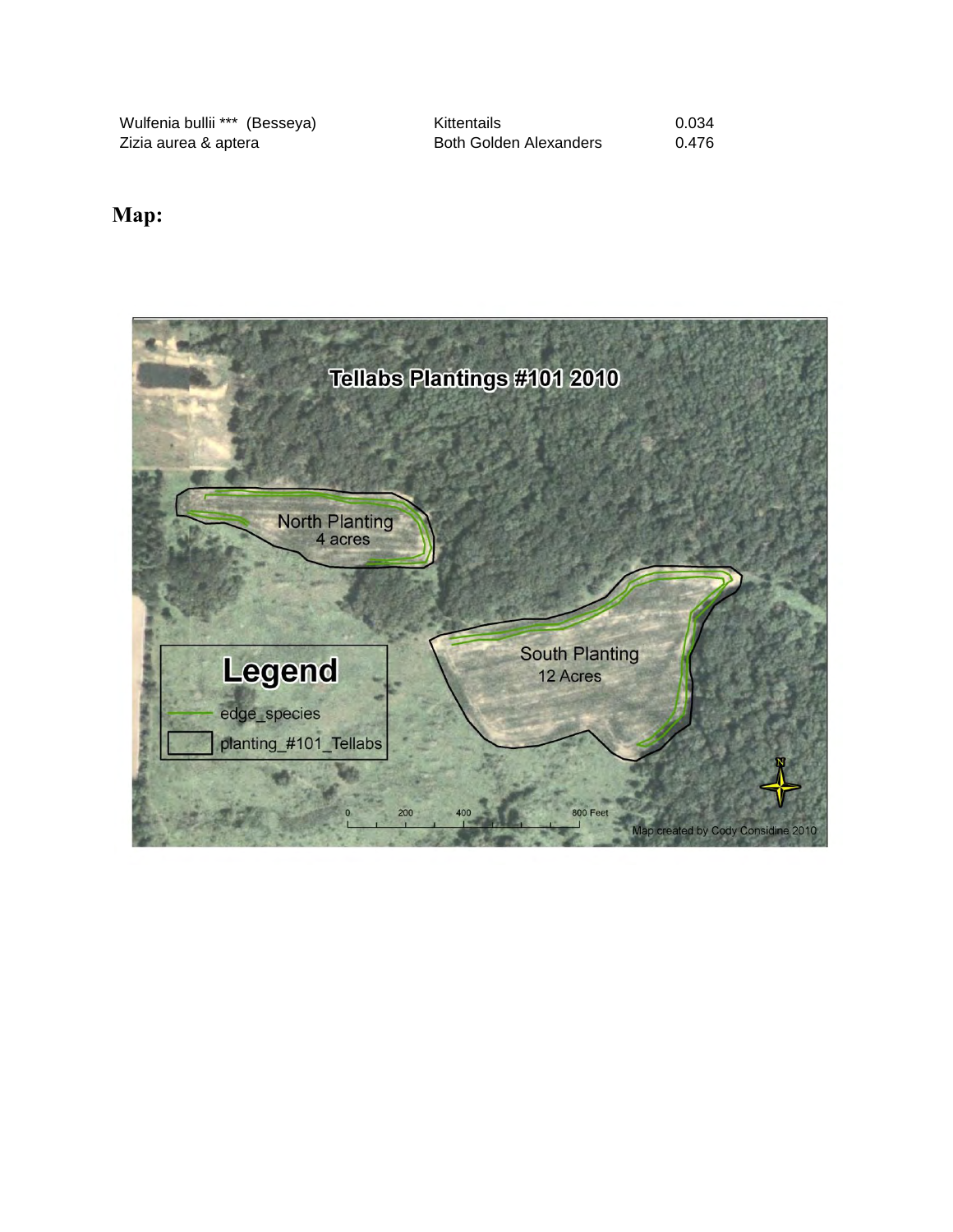Wulfenia bullii \*\*\* (Besseya) Kittentails 0.034 Both Golden Alexanders 0.476

#### **Map:**